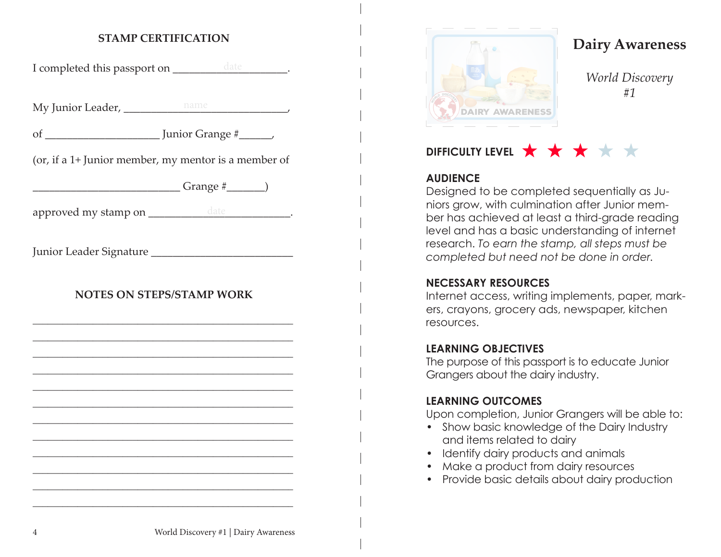### **STAMP CERTIFICATION**

| I completed this passport on ___________ date _________. |  |
|----------------------------------------------------------|--|
|                                                          |  |
|                                                          |  |
| (or, if a 1+ Junior member, my mentor is a member of     |  |
|                                                          |  |
|                                                          |  |
|                                                          |  |
| <b>NOTES ON STEPS/STAMP WORK</b>                         |  |
|                                                          |  |
|                                                          |  |
|                                                          |  |
|                                                          |  |
|                                                          |  |
|                                                          |  |
|                                                          |  |
|                                                          |  |



**Dairy Awareness**

*World Discovery #1*

# **DIFFICULTY LEVEL \* \* \***

## **AUDIENCE**

Designed to be completed sequentially as Juniors grow, with culmination after Junior member has achieved at least a third-grade reading level and has a basic understanding of internet research. *To earn the stamp, all steps must be completed but need not be done in order.*

## **NECESSARY RESOURCES**

Internet access, writing implements, paper, markers, crayons, grocery ads, newspaper, kitchen resources.

## **LEARNING OBJECTIVES**

The purpose of this passport is to educate Junior Grangers about the dairy industry.

### **LEARNING OUTCOMES**

Upon completion, Junior Grangers will be able to:

- Show basic knowledge of the Dairy Industry and items related to dairy
- Identify dairy products and animals
- Make a product from dairy resources
- Provide basic details about dairy production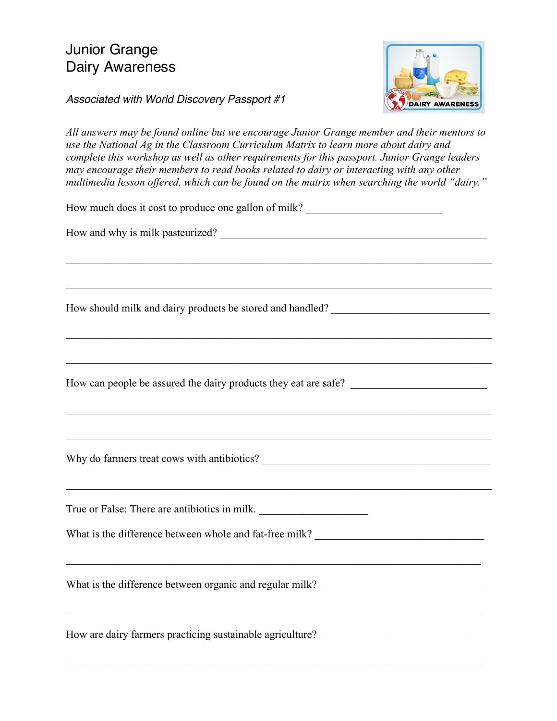# Junior Grange Dairy Awareness



*Associated with World Discovery Passport #1*

*All answers may be found online but we encourage Junior Grange member and their mentors to use the National Ag in the Classroom Curriculum Matrix to learn more about dairy and complete this workshop as well as other requirements for this passport. Junior Grange leaders may encourage their members to read books related to dairy or interacting with any other multimedia lesson offered, which can be found on the matrix when searching the world "dairy."*

| How much does it cost to produce one gallon of milk?                                                                               |
|------------------------------------------------------------------------------------------------------------------------------------|
| How and why is milk pasteurized?                                                                                                   |
|                                                                                                                                    |
| How should milk and dairy products be stored and handled? _______________________                                                  |
|                                                                                                                                    |
|                                                                                                                                    |
| True or False: There are antibiotics in milk.<br>What is the difference between whole and fat-free milk? _________________________ |
| <u> 1989 - Jan Samuel Barbara, martin da shekara ta 1989 - Andrea Samuel Barbara, marka ta 1989 - Andrea Samuel B</u>              |
| How are dairy farmers practicing sustainable agriculture? _______________________                                                  |